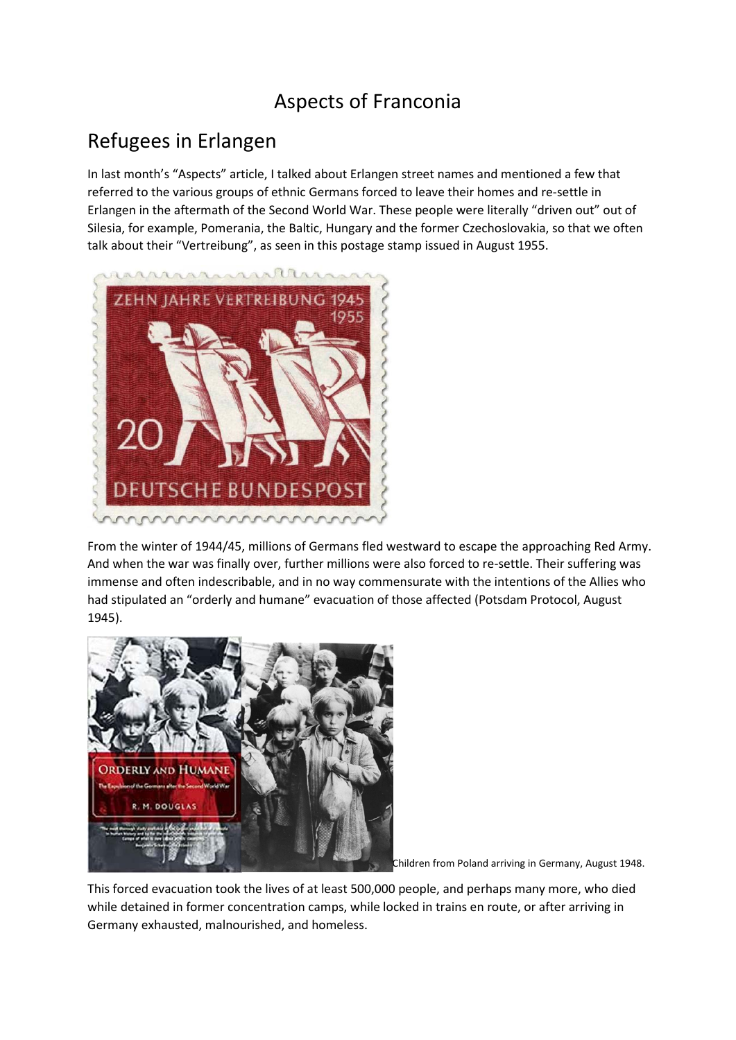## Aspects of Franconia

## Refugees in Erlangen

In last month's "Aspects" article, I talked about Erlangen street names and mentioned a few that referred to the various groups of ethnic Germans forced to leave their homes and re-settle in Erlangen in the aftermath of the Second World War. These people were literally "driven out" out of Silesia, for example, Pomerania, the Baltic, Hungary and the former Czechoslovakia, so that we often talk about their "Vertreibung", as seen in this postage stamp issued in August 1955.



From the winter of 1944/45, millions of Germans fled westward to escape the approaching Red Army. And when the war was finally over, further millions were also forced to re-settle. Their suffering was immense and often indescribable, and in no way commensurate with the intentions of the Allies who had stipulated an "orderly and humane" evacuation of those affected (Potsdam Protocol, August 1945).



Children from Poland arriving in Germany, August 1948.

This forced evacuation took the lives of at least 500,000 people, and perhaps many more, who died while detained in former concentration camps, while locked in trains en route, or after arriving in Germany exhausted, malnourished, and homeless.